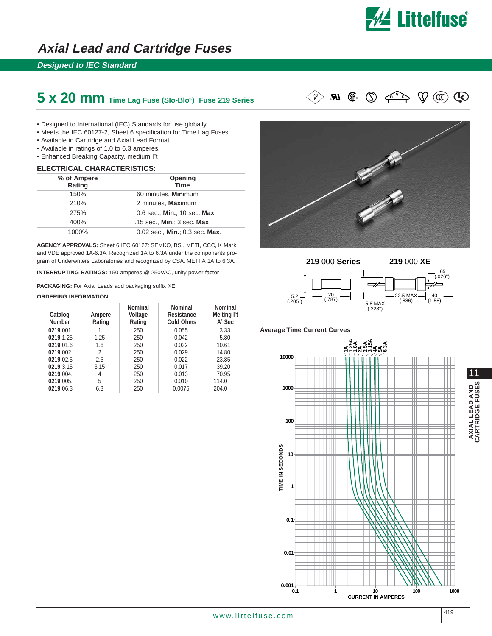

**<sup>V</sup> D E**

## **Axial Lead and Cartridge Fuses**

### **Designed to IEC Standard**

# **5 x 20 mm Time Lag Fuse (SIo-Blo®) Fuse 219 Series** ® ®

- Designed to International (IEC) Standards for use globally.
- Meets the IEC 60127-2, Sheet 6 specification for Time Lag Fuses.
- Available in Cartridge and Axial Lead Format.
- Available in ratings of 1.0 to 6.3 amperes.
- Enhanced Breaking Capacity, medium l<sup>2</sup>t

#### **ELECTRICAL CHARACTERISTICS:**

|  | % of Ampere<br>Rating | <b>Opening</b><br><b>Time</b>  |  |  |  |
|--|-----------------------|--------------------------------|--|--|--|
|  | 150%                  | 60 minutes, Minimum            |  |  |  |
|  | 210%                  | 2 minutes, Maximum             |  |  |  |
|  | 275%                  | 0.6 sec., Min.; 10 sec. Max    |  |  |  |
|  | 400%                  | .15 sec., Min.; 3 sec. Max     |  |  |  |
|  | 1000%                 | 0.02 sec., Min.; 0.3 sec. Max. |  |  |  |

**AGENCY APPROVALS:** Sheet 6 IEC 60127: SEMKO, BSI, METI, CCC, K Mark and VDE approved 1A-6.3A. Recognized 1A to 6.3A under the components program of Underwriters Laboratories and recognized by CSA. METI A 1A to 6.3A.

**INTERRUPTING RATINGS:** 150 amperes @ 250VAC, unity power factor

**PACKAGING:** For Axial Leads add packaging suffix XE.

#### **ORDERING INFORMATION:**

| Catalog<br><b>Number</b> | Ampere<br>Rating | <b>Nominal</b><br>Voltage<br>Rating | <b>Nominal</b><br>Resistance<br><b>Cold Ohms</b> | <b>Nominal</b><br>Melting <sup>12</sup> t<br>$A2$ Sec |
|--------------------------|------------------|-------------------------------------|--------------------------------------------------|-------------------------------------------------------|
| 0219 001.                |                  | 250                                 | 0.055                                            | 3.33                                                  |
| 0219 1.25                | 1.25             | 250                                 | 0.042                                            | 5.80                                                  |
| 0219 01.6                | 1.6              | 250                                 | 0.032                                            | 10.61                                                 |
| 0219 002.                | 2                | 250                                 | 0.029                                            | 14.80                                                 |
| 0219 02.5                | 2.5              | 250                                 | 0.022                                            | 23.85                                                 |
| 0219 3.15                | 3.15             | 250                                 | 0.017                                            | 39.20                                                 |
| 0219 004.                | 4                | 250                                 | 0.013                                            | 70.95                                                 |
| 0219 005.                | 5                | 250                                 | 0.010                                            | 114.0                                                 |
| 0219 06.3                | 6.3              | 250                                 | 0.0075                                           | 204.0                                                 |





20 (.787)

 $\mathcal{L}$ <br>5.8 MAX (.228")

 $-22.5$  MAX  $-$ (.886)

40  $(1.58)$ 

.65 (.026")

 $\mathcal{D}(\mathfrak{m})$ 

#### **Average Time Current Curves**

5.2



11